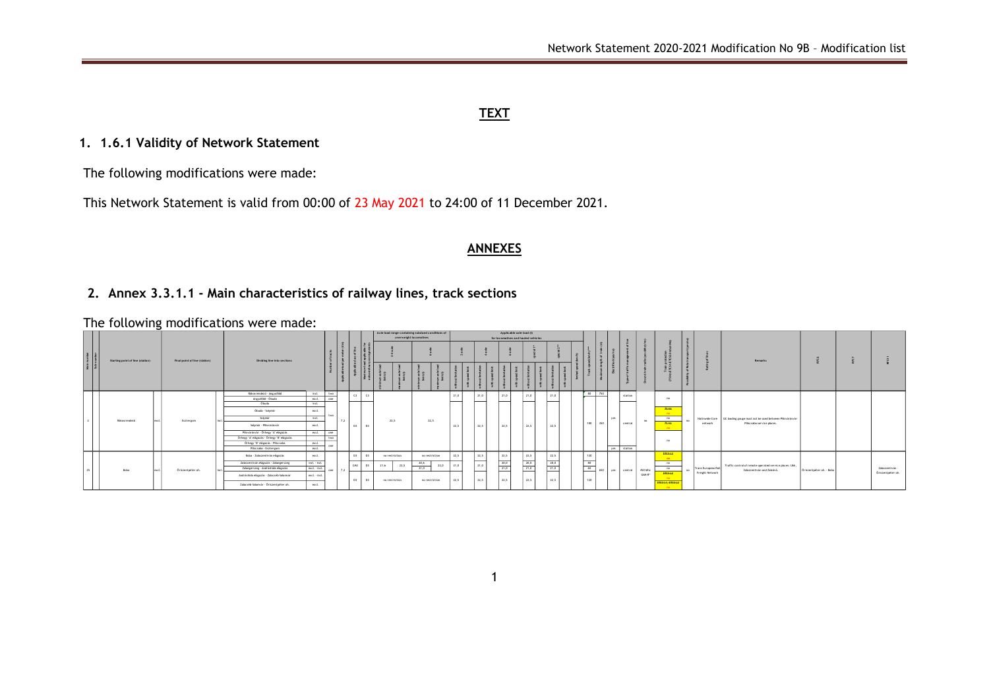## **TEXT**

# **1. 1.6.1 Validity of Network Statement**

The following modifications were made:

This Network Statement is valid from 00:00 of 23 May 2021 to 24:00 of 11 December 2021.

#### **ANNEXES**

## **2. Annex 3.3.1.1 - Main characteristics of railway lines, track sections**

The following modifications were made:

|                           |                                  |  |                               |  |                                           |                                       |                    |     | Axle load range containing subdued conditions of<br>overweight locomotives |                       |                |                | Applicable axle load (t)<br>for locomotives and hauled vehicles |      |      |      |                     |                     |      |      |         |                                                                                                                                                                                                                                                |         |                 |                                  |                                           |                                 |                                                                                                       |                                                         |                          |  |                   |
|---------------------------|----------------------------------|--|-------------------------------|--|-------------------------------------------|---------------------------------------|--------------------|-----|----------------------------------------------------------------------------|-----------------------|----------------|----------------|-----------------------------------------------------------------|------|------|------|---------------------|---------------------|------|------|---------|------------------------------------------------------------------------------------------------------------------------------------------------------------------------------------------------------------------------------------------------|---------|-----------------|----------------------------------|-------------------------------------------|---------------------------------|-------------------------------------------------------------------------------------------------------|---------------------------------------------------------|--------------------------|--|-------------------|
| Wate number<br>Sub-number | Starting point of line (station) |  | Final point of line (station) |  | Dividing line into sections               |                                       | ঁঁ                 |     |                                                                            |                       |                |                |                                                                 |      |      |      |                     |                     |      |      |         |                                                                                                                                                                                                                                                |         |                 |                                  |                                           |                                 |                                                                                                       | Remarks                                                 |                          |  |                   |
|                           |                                  |  |                               |  |                                           |                                       |                    |     |                                                                            | $um xcb$<br>limit (1) | $m \times 1$   |                |                                                                 |      |      |      |                     |                     |      |      |         |                                                                                                                                                                                                                                                |         |                 |                                  |                                           |                                 |                                                                                                       |                                                         |                          |  |                   |
|                           |                                  |  |                               |  | Rákosrendező - Angyalföld                 | incl.                                 | two                |     | C3                                                                         |                       |                |                |                                                                 | 21,0 |      | 21.0 | 21.0                | 21.0                |      | 21.0 |         | 80 750<br><u> a shekara ta 1999 a shekara ta 1999 a shekara ta 1999 a shekara ta 1999 a shekara ta 1999 a shekara ta 1999 a shekara ta 1999 a shekara ta 1999 a shekara ta 1999 a shekara ta 1999 a shekara ta 1999 a shekara ta 1999 a sh</u> |         | station         |                                  |                                           |                                 |                                                                                                       |                                                         |                          |  |                   |
|                           |                                  |  |                               |  | Anevalloid - Obuda<br>Obuda               | excL<br>incl.                         | one                |     |                                                                            |                       |                |                |                                                                 |      |      |      |                     |                     |      |      |         |                                                                                                                                                                                                                                                |         |                 | $^{\circ}$                       |                                           |                                 |                                                                                                       |                                                         |                          |  |                   |
|                           |                                  |  |                               |  | Obuda - Solvmir                           |                                       |                    |     |                                                                            |                       |                |                |                                                                 |      |      |      |                     |                     |      |      |         |                                                                                                                                                                                                                                                |         |                 |                                  | <b>75Hs</b>                               |                                 |                                                                                                       |                                                         |                          |  |                   |
|                           |                                  |  |                               |  |                                           | excl                                  | TWY                |     |                                                                            |                       |                |                |                                                                 |      |      |      |                     |                     |      |      |         |                                                                                                                                                                                                                                                |         |                 |                                  | $-0.0$                                    |                                 |                                                                                                       |                                                         |                          |  |                   |
|                           | Räkosrendező                     |  | Esztergom                     |  | Solvmár                                   | incl.                                 |                    |     |                                                                            |                       | 22,5           | 22,5           |                                                                 |      |      |      |                     |                     | 22.5 |      |         | ves                                                                                                                                                                                                                                            | central | no              | no                               |                                           |                                 | Natinwide Core GC loading gauge must not be used between Pilisvörösvár-<br>Piliscsaba service places. |                                                         |                          |  |                   |
|                           |                                  |  |                               |  | Solvmár - Přísvörösvár                    | excl<br>excl                          |                    |     | D3 D3                                                                      |                       |                |                | 22.5                                                            |      | 22.5 | 22.5 | 22.5                |                     |      |      | 100 350 |                                                                                                                                                                                                                                                |         |                 | <b>26Ha</b><br><b>CONTRACTOR</b> |                                           | network                         |                                                                                                       |                                                         |                          |  |                   |
|                           |                                  |  |                               |  | Pilsvörösvár - Örhegy "A" elágazás        |                                       | one                |     |                                                                            |                       |                |                |                                                                 |      |      |      |                     |                     |      |      |         |                                                                                                                                                                                                                                                |         |                 |                                  | -no                                       |                                 |                                                                                                       |                                                         |                          |  |                   |
|                           |                                  |  |                               |  | Örhegy "A" elágazás - Örhegy "B" elágazás |                                       | TWO<br>excl<br>one |     |                                                                            |                       |                |                |                                                                 |      |      |      |                     |                     |      |      |         |                                                                                                                                                                                                                                                |         |                 |                                  |                                           |                                 |                                                                                                       |                                                         |                          |  |                   |
|                           |                                  |  |                               |  | Örhezy "B" eligazás - Piliscsaba          |                                       |                    |     |                                                                            |                       |                |                |                                                                 |      |      |      |                     |                     |      |      |         |                                                                                                                                                                                                                                                |         |                 |                                  |                                           |                                 |                                                                                                       |                                                         |                          |  |                   |
|                           |                                  |  |                               |  | Pilscsaba - Esztereom                     | excl                                  |                    |     |                                                                            |                       |                |                |                                                                 |      |      |      |                     |                     |      |      |         |                                                                                                                                                                                                                                                |         | yes station     |                                  |                                           |                                 |                                                                                                       |                                                         |                          |  |                   |
| 25                        |                                  |  |                               |  | Boba - Zalaszentiván elágazás             | excL                                  |                    |     | D3                                                                         |                       | no restriction | no restriction |                                                                 | 22,5 |      | 22,5 | 22.5                | 22.5                |      | 22.5 |         | 120                                                                                                                                                                                                                                            |         |                 |                                  | <b>ETCS12</b><br><b>Contract Contract</b> |                                 |                                                                                                       |                                                         |                          |  | Zalaszentiván -   |
|                           |                                  |  |                               |  | Zalaszentiván elágazás - Zalaegerszeg     | incl. - incl.                         |                    |     | D3<br>CM3                                                                  | 21,6                  | 22,5           | 20,6           | 22,0                                                            | 21,0 |      | 21,0 | $\frac{20,0}{21,0}$ | $\frac{20,0}{21,0}$ |      | 20,0 |         | —<br>80                                                                                                                                                                                                                                        |         |                 |                                  | nQ                                        |                                 |                                                                                                       | Traffic control of remote operated service places: Ukk, |                          |  |                   |
|                           | Boba                             |  | Öriszentpéter ah.             |  | Zalaegerszeg - Andráshida elágazás        | excl. - incl.                         | one                | 7.2 | $\sim$                                                                     |                       |                | 21,0           |                                                                 |      |      |      |                     |                     |      | 21.0 |         | 60                                                                                                                                                                                                                                             |         | 650 yes central | 450 Mhz                          | nQ                                        |                                 | Trans European Rail                                                                                   | Zalaszentiván and Zalaövő.                              | Öriszentpéter oh. - Boba |  |                   |
|                           |                                  |  |                               |  | Andráshída elágazás - Zalacséb-Salomvár   | excl. - incl.                         |                    |     | D3<br>R <sub>1</sub>                                                       |                       |                |                |                                                                 |      |      | 22.5 | 22.5                | 22.5                |      | 22.5 |         |                                                                                                                                                                                                                                                |         |                 | GSM-R*                           | <b>ETESTA</b><br>$-0.0$                   |                                 | Freight Network                                                                                       |                                                         |                          |  | Öriszentpéter oh. |
|                           |                                  |  |                               |  |                                           | Zalacséb-Salomvár - Őriszentpéter oh. | excl               |     |                                                                            |                       |                | no restriction | no restriction                                                  |      | 22,5 |      |                     |                     |      |      |         |                                                                                                                                                                                                                                                | 120     |                 |                                  |                                           | ETCSUL ETCSUP<br><b>CONTROL</b> |                                                                                                       |                                                         |                          |  |                   |